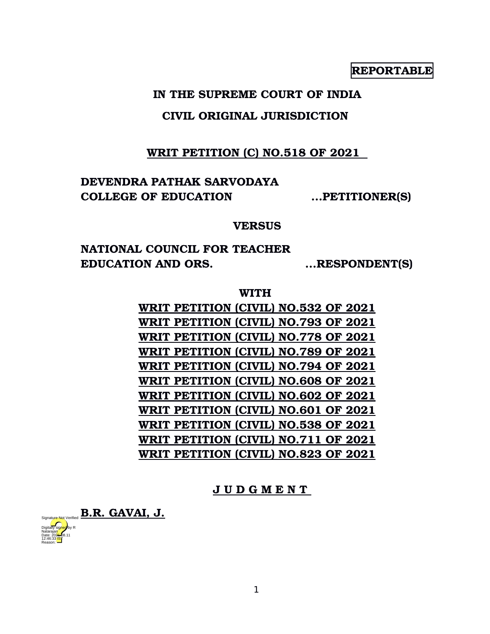**REPORTABLE**

# **IN THE SUPREME COURT OF INDIA**

# **CIVIL ORIGINAL JURISDICTION**

# **WRIT PETITION (C) NO.518 OF 2021**

# **DEVENDRA PATHAK SARVODAYA COLLEGE OF EDUCATION ...PETITIONER(S)**

## **VERSUS**

**NATIONAL COUNCIL FOR TEACHER EDUCATION AND ORS. ...RESPONDENT(S)**

## **WITH**

**WRIT PETITION (CIVIL) NO.532 OF 2021 WRIT PETITION (CIVIL) NO.793 OF 2021 WRIT PETITION (CIVIL) NO.778 OF 2021 WRIT PETITION (CIVIL) NO.789 OF 2021 WRIT PETITION (CIVIL) NO.794 OF 2021 WRIT PETITION (CIVIL) NO.608 OF 2021 WRIT PETITION (CIVIL) NO.602 OF 2021 WRIT PETITION (CIVIL) NO.601 OF 2021 WRIT PETITION (CIVIL) NO.538 OF 2021 WRIT PETITION (CIVIL) NO.711 OF 2021 WRIT PETITION (CIVIL) NO.823 OF 2021**

# **J U D G M E N T**

Signature Not Verified **B.R. GAVAI, J.** Digitally signed by R Natarajan Date: 2024-08.11 12:46:33 IST

Reason: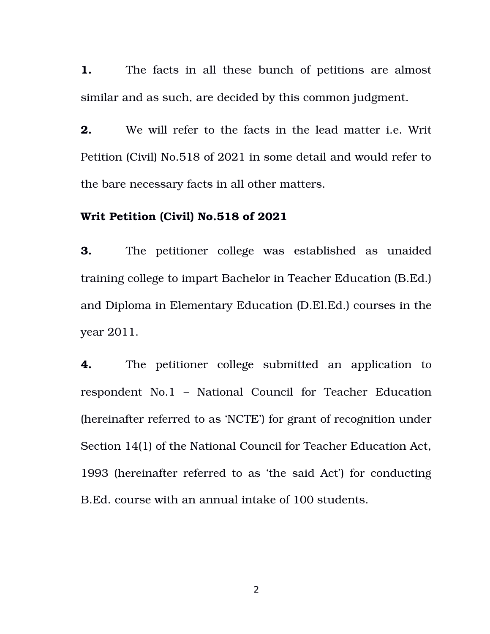**1.** The facts in all these bunch of petitions are almost similar and as such, are decided by this common judgment.

**2.** We will refer to the facts in the lead matter i.e. Writ Petition (Civil) No.518 of 2021 in some detail and would refer to the bare necessary facts in all other matters.

### **Writ Petition (Civil) No.518 of 2021**

**3.** The petitioner college was established as unaided training college to impart Bachelor in Teacher Education (B.Ed.) and Diploma in Elementary Education (D.El.Ed.) courses in the year 2011.

**4.** The petitioner college submitted an application to respondent No.1 – National Council for Teacher Education (hereinafter referred to as 'NCTE') for grant of recognition under Section 14(1) of the National Council for Teacher Education Act, 1993 (hereinafter referred to as 'the said Act') for conducting B.Ed. course with an annual intake of 100 students.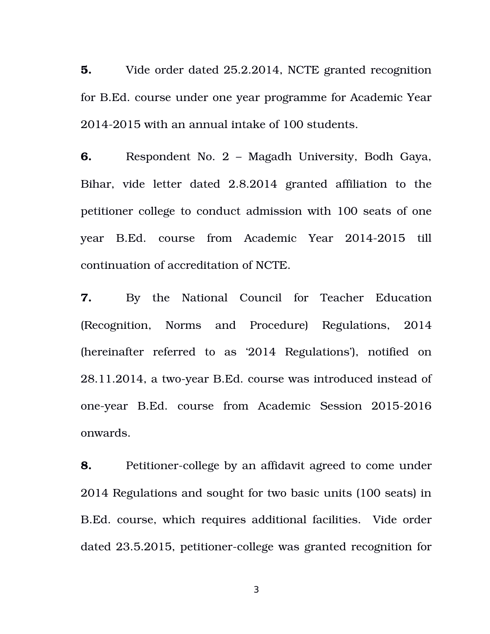**5.** Vide order dated 25.2.2014, NCTE granted recognition for B.Ed. course under one year programme for Academic Year 20142015 with an annual intake of 100 students.

**6.** Respondent No. 2 – Magadh University, Bodh Gaya, Bihar, vide letter dated 2.8.2014 granted affiliation to the petitioner college to conduct admission with 100 seats of one year B.Ed. course from Academic Year 20142015 till continuation of accreditation of NCTE.

**7.** By the National Council for Teacher Education (Recognition, Norms and Procedure) Regulations, 2014 (hereinafter referred to as '2014 Regulations'), notified on 28.11.2014, a two-year B.Ed. course was introduced instead of one-year B.Ed. course from Academic Session 2015-2016 onwards.

**8.** Petitioner-college by an affidavit agreed to come under 2014 Regulations and sought for two basic units (100 seats) in B.Ed. course, which requires additional facilities. Vide order dated 23.5.2015, petitioner-college was granted recognition for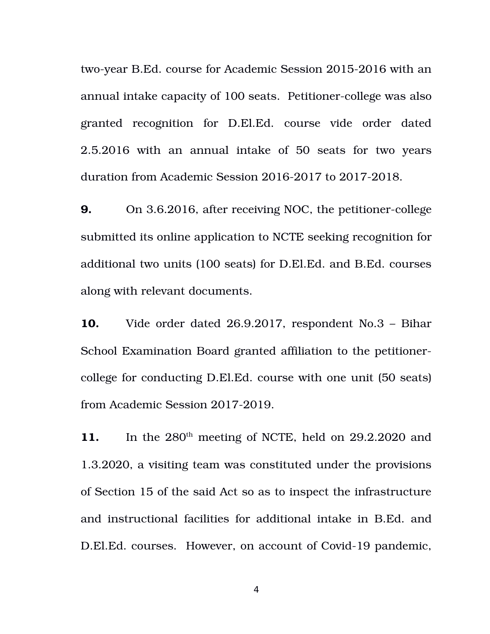two-year B.Ed. course for Academic Session 2015-2016 with an annual intake capacity of 100 seats. Petitioner-college was also granted recognition for D.El.Ed. course vide order dated 2.5.2016 with an annual intake of 50 seats for two years duration from Academic Session 2016-2017 to 2017-2018.

**9.** On 3.6.2016, after receiving NOC, the petitioner-college submitted its online application to NCTE seeking recognition for additional two units (100 seats) for D.El.Ed. and B.Ed. courses along with relevant documents.

**10.** Vide order dated 26.9.2017, respondent No.3 – Bihar School Examination Board granted affiliation to the petitionercollege for conducting D.El.Ed. course with one unit (50 seats) from Academic Session 2017-2019.

11. In the 280<sup>th</sup> meeting of NCTE, held on 29.2.2020 and 1.3.2020, a visiting team was constituted under the provisions of Section 15 of the said Act so as to inspect the infrastructure and instructional facilities for additional intake in B.Ed. and D.El.Ed. courses. However, on account of Covid-19 pandemic,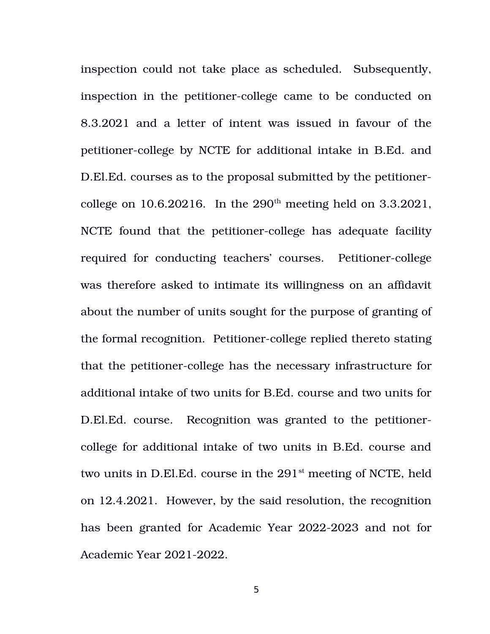inspection could not take place as scheduled. Subsequently, inspection in the petitioner-college came to be conducted on 8.3.2021 and a letter of intent was issued in favour of the petitioner-college by NCTE for additional intake in B.Ed. and D.El.Ed. courses as to the proposal submitted by the petitionercollege on  $10.6.20216$ . In the  $290<sup>th</sup>$  meeting held on  $3.3.2021$ , NCTE found that the petitioner-college has adequate facility required for conducting teachers' courses. Petitioner-college was therefore asked to intimate its willingness on an affidavit about the number of units sought for the purpose of granting of the formal recognition. Petitioner-college replied thereto stating that the petitioner-college has the necessary infrastructure for additional intake of two units for B.Ed. course and two units for D.El.Ed. course. Recognition was granted to the petitionercollege for additional intake of two units in B.Ed. course and two units in D.El.Ed. course in the 291<sup>st</sup> meeting of NCTE, held on 12.4.2021. However, by the said resolution, the recognition has been granted for Academic Year 2022-2023 and not for Academic Year 2021-2022.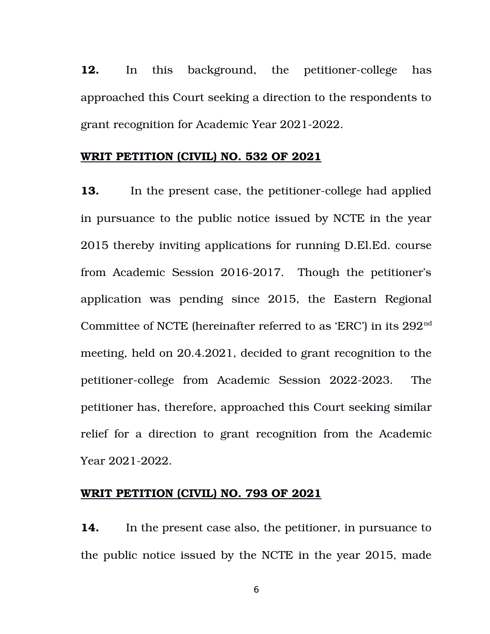**12.** In this background, the petitioner-college has approached this Court seeking a direction to the respondents to grant recognition for Academic Year 2021-2022.

## **WRIT PETITION (CIVIL) NO. 532 OF 2021**

**13.** In the present case, the petitioner-college had applied in pursuance to the public notice issued by NCTE in the year 2015 thereby inviting applications for running D.El.Ed. course from Academic Session 2016-2017. Though the petitioner's application was pending since 2015, the Eastern Regional Committee of NCTE (hereinafter referred to as 'ERC') in its  $292<sup>nd</sup>$ meeting, held on 20.4.2021, decided to grant recognition to the petitioner-college from Academic Session 2022-2023. The petitioner has, therefore, approached this Court seeking similar relief for a direction to grant recognition from the Academic Year 2021-2022.

## **WRIT PETITION (CIVIL) NO. 793 OF 2021**

**14.** In the present case also, the petitioner, in pursuance to the public notice issued by the NCTE in the year 2015, made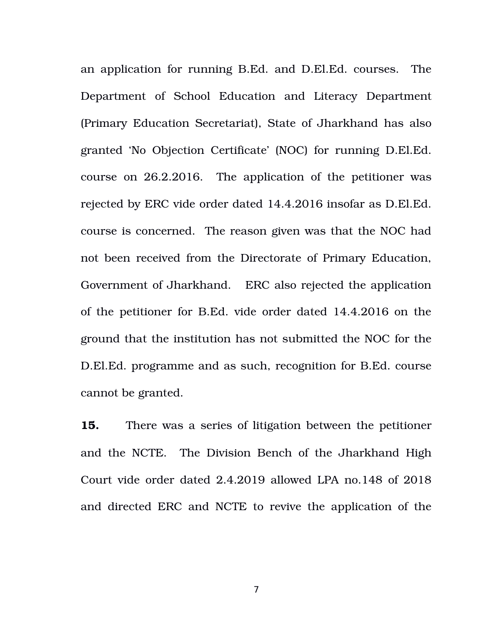an application for running B.Ed. and D.El.Ed. courses. The Department of School Education and Literacy Department (Primary Education Secretariat), State of Jharkhand has also granted 'No Objection Certificate' (NOC) for running D.El.Ed. course on 26.2.2016. The application of the petitioner was rejected by ERC vide order dated 14.4.2016 insofar as D.El.Ed. course is concerned. The reason given was that the NOC had not been received from the Directorate of Primary Education, Government of Jharkhand. ERC also rejected the application of the petitioner for B.Ed. vide order dated 14.4.2016 on the ground that the institution has not submitted the NOC for the D.El.Ed. programme and as such, recognition for B.Ed. course cannot be granted.

**15.** There was a series of litigation between the petitioner and the NCTE. The Division Bench of the Jharkhand High Court vide order dated 2.4.2019 allowed LPA no.148 of 2018 and directed ERC and NCTE to revive the application of the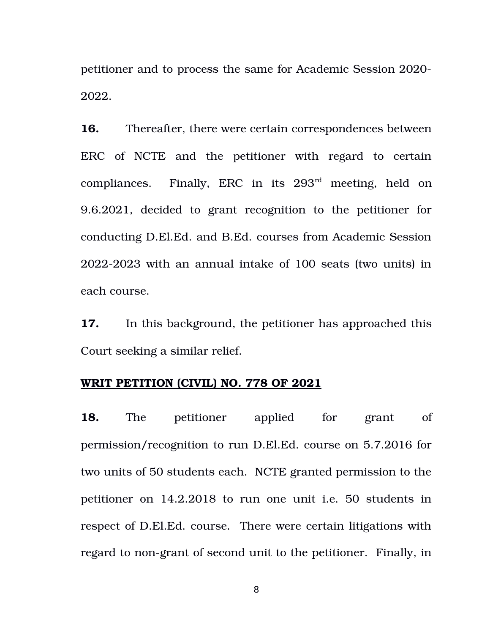petitioner and to process the same for Academic Session 2020 2022.

**16.** Thereafter, there were certain correspondences between ERC of NCTE and the petitioner with regard to certain compliances. Finally, ERC in its  $293<sup>rd</sup>$  meeting, held on 9.6.2021, decided to grant recognition to the petitioner for conducting D.El.Ed. and B.Ed. courses from Academic Session 20222023 with an annual intake of 100 seats (two units) in each course.

**17.** In this background, the petitioner has approached this Court seeking a similar relief.

### **WRIT PETITION (CIVIL) NO. 778 OF 2021**

**18.** The petitioner applied for grant of permission/recognition to run D.El.Ed. course on 5.7.2016 for two units of 50 students each. NCTE granted permission to the petitioner on 14.2.2018 to run one unit i.e. 50 students in respect of D.El.Ed. course. There were certain litigations with regard to non-grant of second unit to the petitioner. Finally, in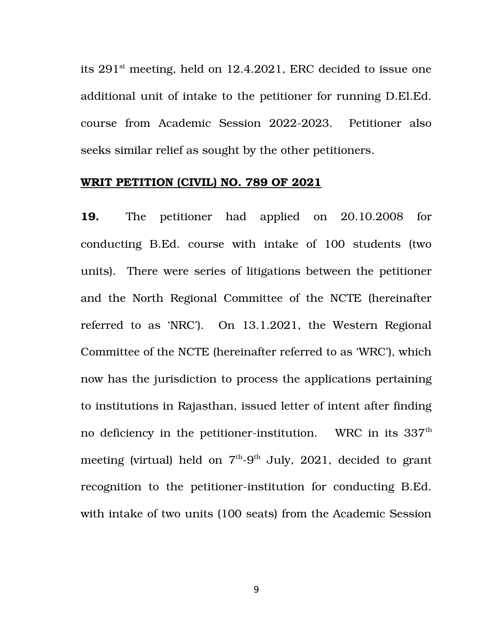its 291st meeting, held on 12.4.2021, ERC decided to issue one additional unit of intake to the petitioner for running D.El.Ed. course from Academic Session 2022-2023. Petitioner also seeks similar relief as sought by the other petitioners.

## **WRIT PETITION (CIVIL) NO. 789 OF 2021**

19. The petitioner had applied on 20.10.2008 for conducting B.Ed. course with intake of 100 students (two units). There were series of litigations between the petitioner and the North Regional Committee of the NCTE (hereinafter referred to as 'NRC'). On 13.1.2021, the Western Regional Committee of the NCTE (hereinafter referred to as 'WRC'), which now has the jurisdiction to process the applications pertaining to institutions in Rajasthan, issued letter of intent after finding no deficiency in the petitioner-institution. WRC in its  $337<sup>th</sup>$ meeting (virtual) held on  $7<sup>th</sup>-9<sup>th</sup>$  July, 2021, decided to grant recognition to the petitioner-institution for conducting B.Ed. with intake of two units (100 seats) from the Academic Session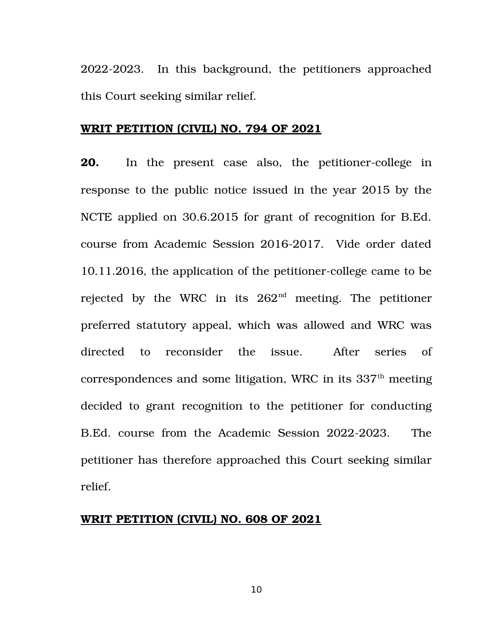2022-2023. In this background, the petitioners approached this Court seeking similar relief.

### **WRIT PETITION (CIVIL) NO. 794 OF 2021**

**20.** In the present case also, the petitioner-college in response to the public notice issued in the year 2015 by the NCTE applied on 30.6.2015 for grant of recognition for B.Ed. course from Academic Session 2016-2017. Vide order dated 10.11.2016, the application of the petitioner-college came to be rejected by the WRC in its  $262<sup>nd</sup>$  meeting. The petitioner preferred statutory appeal, which was allowed and WRC was directed to reconsider the issue. After series of correspondences and some litigation, WRC in its  $337<sup>th</sup>$  meeting decided to grant recognition to the petitioner for conducting B.Ed. course from the Academic Session 2022-2023. The petitioner has therefore approached this Court seeking similar relief.

# **WRIT PETITION (CIVIL) NO. 608 OF 2021**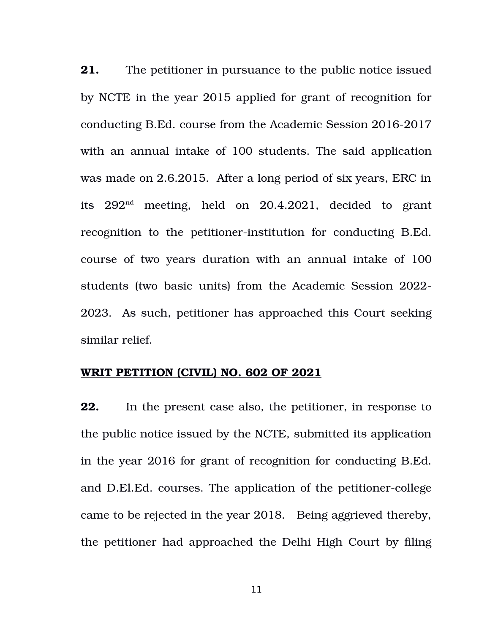**21.** The petitioner in pursuance to the public notice issued by NCTE in the year 2015 applied for grant of recognition for conducting B.Ed. course from the Academic Session 2016-2017 with an annual intake of 100 students. The said application was made on 2.6.2015. After a long period of six years, ERC in its  $292<sup>nd</sup>$  meeting, held on  $20.4.2021$ , decided to grant recognition to the petitioner-institution for conducting B.Ed. course of two years duration with an annual intake of 100 students (two basic units) from the Academic Session 2022 2023. As such, petitioner has approached this Court seeking similar relief.

### **WRIT PETITION (CIVIL) NO. 602 OF 2021**

**22.** In the present case also, the petitioner, in response to the public notice issued by the NCTE, submitted its application in the year 2016 for grant of recognition for conducting B.Ed. and D.El.Ed. courses. The application of the petitioner-college came to be rejected in the year 2018. Being aggrieved thereby, the petitioner had approached the Delhi High Court by filing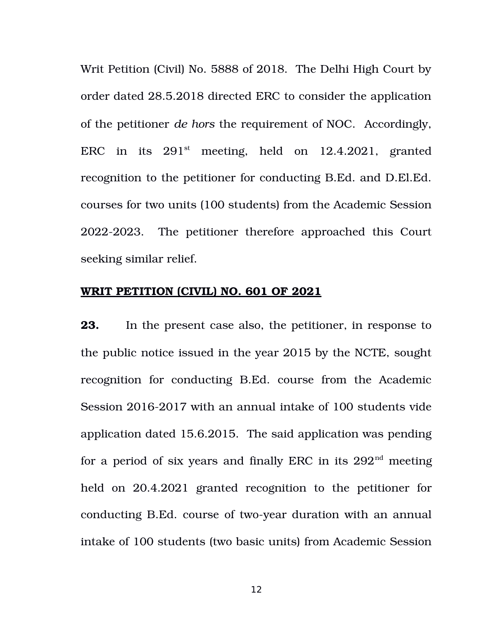Writ Petition (Civil) No. 5888 of 2018. The Delhi High Court by order dated 28.5.2018 directed ERC to consider the application of the petitioner *de hors* the requirement of NOC. Accordingly, ERC in its  $291<sup>st</sup>$  meeting, held on  $12.4.2021$ , granted recognition to the petitioner for conducting B.Ed. and D.El.Ed. courses for two units (100 students) from the Academic Session 2022-2023. The petitioner therefore approached this Court seeking similar relief.

### **WRIT PETITION (CIVIL) NO. 601 OF 2021**

**23.** In the present case also, the petitioner, in response to the public notice issued in the year 2015 by the NCTE, sought recognition for conducting B.Ed. course from the Academic Session 2016-2017 with an annual intake of 100 students vide application dated 15.6.2015. The said application was pending for a period of six years and finally ERC in its  $292<sup>nd</sup>$  meeting held on 20.4.2021 granted recognition to the petitioner for conducting B.Ed. course of two-year duration with an annual intake of 100 students (two basic units) from Academic Session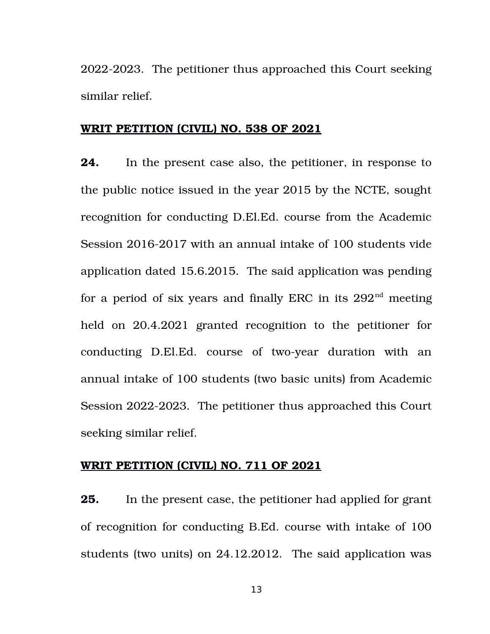2022-2023. The petitioner thus approached this Court seeking similar relief.

# **WRIT PETITION (CIVIL) NO. 538 OF 2021**

**24.** In the present case also, the petitioner, in response to the public notice issued in the year 2015 by the NCTE, sought recognition for conducting D.El.Ed. course from the Academic Session 2016-2017 with an annual intake of 100 students vide application dated 15.6.2015. The said application was pending for a period of six years and finally ERC in its  $292<sup>nd</sup>$  meeting held on 20.4.2021 granted recognition to the petitioner for conducting D.El.Ed. course of two-year duration with an annual intake of 100 students (two basic units) from Academic Session 2022-2023. The petitioner thus approached this Court seeking similar relief.

#### **WRIT PETITION (CIVIL) NO. 711 OF 2021**

**25.** In the present case, the petitioner had applied for grant of recognition for conducting B.Ed. course with intake of 100 students (two units) on 24.12.2012. The said application was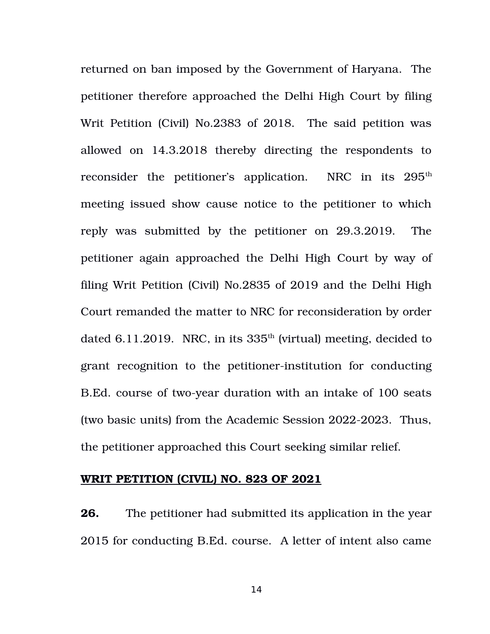returned on ban imposed by the Government of Haryana. The petitioner therefore approached the Delhi High Court by filing Writ Petition (Civil) No.2383 of 2018. The said petition was allowed on 14.3.2018 thereby directing the respondents to reconsider the petitioner's application. NRC in its 295<sup>th</sup> meeting issued show cause notice to the petitioner to which reply was submitted by the petitioner on 29.3.2019. The petitioner again approached the Delhi High Court by way of filing Writ Petition (Civil) No.2835 of 2019 and the Delhi High Court remanded the matter to NRC for reconsideration by order dated 6.11.2019. NRC, in its  $335<sup>th</sup>$  (virtual) meeting, decided to grant recognition to the petitioner-institution for conducting B.Ed. course of two-year duration with an intake of 100 seats (two basic units) from the Academic Session 2022-2023. Thus, the petitioner approached this Court seeking similar relief.

#### **WRIT PETITION (CIVIL) NO. 823 OF 2021**

**26.** The petitioner had submitted its application in the year 2015 for conducting B.Ed. course. A letter of intent also came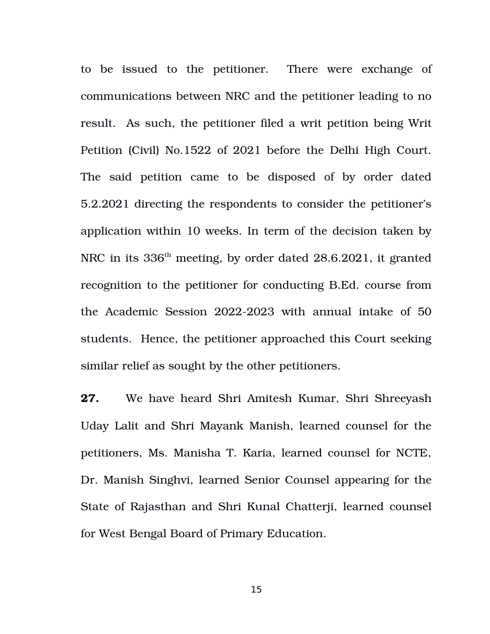to be issued to the petitioner. There were exchange of communications between NRC and the petitioner leading to no result. As such, the petitioner filed a writ petition being Writ Petition (Civil) No.1522 of 2021 before the Delhi High Court. The said petition came to be disposed of by order dated 5.2.2021 directing the respondents to consider the petitioner's application within 10 weeks. In term of the decision taken by NRC in its 336th meeting, by order dated 28.6.2021, it granted recognition to the petitioner for conducting B.Ed. course from the Academic Session 2022-2023 with annual intake of 50 students. Hence, the petitioner approached this Court seeking similar relief as sought by the other petitioners.

**27.** We have heard Shri Amitesh Kumar, Shri Shreeyash Uday Lalit and Shri Mayank Manish, learned counsel for the petitioners, Ms. Manisha T. Karia, learned counsel for NCTE, Dr. Manish Singhvi, learned Senior Counsel appearing for the State of Rajasthan and Shri Kunal Chatterji, learned counsel for West Bengal Board of Primary Education.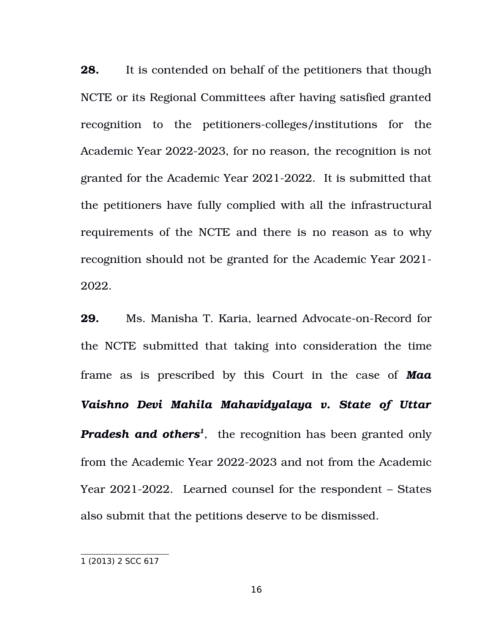**28.** It is contended on behalf of the petitioners that though NCTE or its Regional Committees after having satisfied granted recognition to the petitioners-colleges/institutions for the Academic Year 2022-2023, for no reason, the recognition is not granted for the Academic Year 2021-2022. It is submitted that the petitioners have fully complied with all the infrastructural requirements of the NCTE and there is no reason as to why recognition should not be granted for the Academic Year 2021 2022.

**29.** Ms. Manisha T. Karia, learned Advocate-on-Record for the NCTE submitted that taking into consideration the time frame as is prescribed by this Court in the case of **Maa** *Vaishno Devi Mahila Mahavidyalaya v. State of Uttar Pradesh and others[1](#page-15-0)* , the recognition has been granted only from the Academic Year 2022-2023 and not from the Academic Year  $2021-2022$ . Learned counsel for the respondent – States also submit that the petitions deserve to be dismissed.

<span id="page-15-0"></span><sup>1</sup> (2013) 2 SCC 617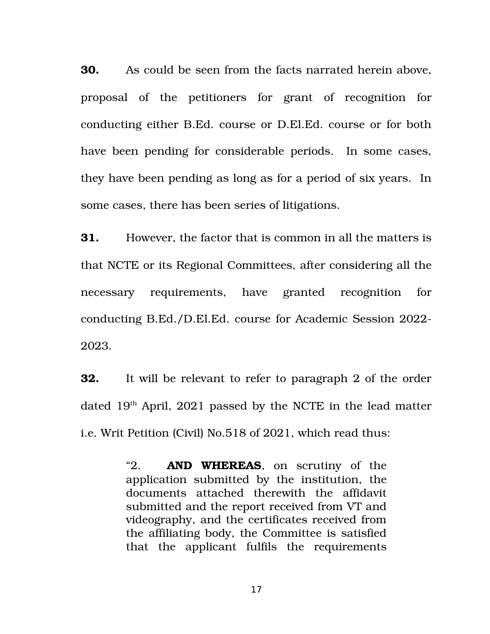**30.** As could be seen from the facts narrated herein above, proposal of the petitioners for grant of recognition for conducting either B.Ed. course or D.El.Ed. course or for both have been pending for considerable periods. In some cases, they have been pending as long as for a period of six years. In some cases, there has been series of litigations.

**31.** However, the factor that is common in all the matters is that NCTE or its Regional Committees, after considering all the necessary requirements, have granted recognition for conducting B.Ed./D.El.Ed. course for Academic Session 2022 2023.

**32.** It will be relevant to refer to paragraph 2 of the order dated  $19<sup>th</sup>$  April, 2021 passed by the NCTE in the lead matter i.e. Writ Petition (Civil) No.518 of 2021, which read thus:

> "2. **AND WHEREAS**, on scrutiny of the application submitted by the institution, the documents attached therewith the affidavit submitted and the report received from VT and videography, and the certificates received from the affiliating body, the Committee is satisfied that the applicant fulfils the requirements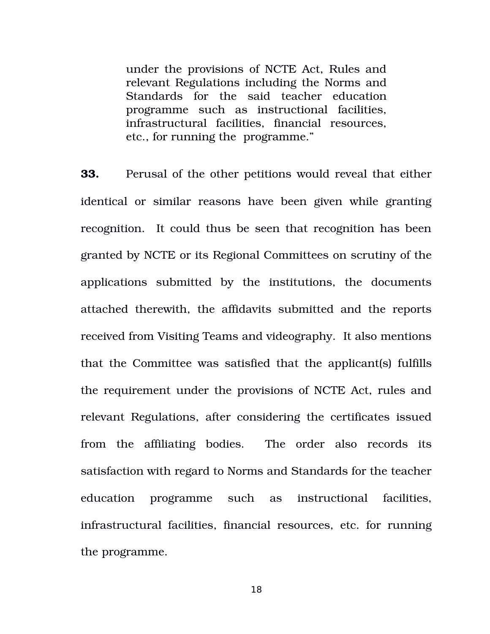under the provisions of NCTE Act, Rules and relevant Regulations including the Norms and Standards for the said teacher education programme such as instructional facilities, infrastructural facilities, financial resources, etc., for running the programme."

**33.** Perusal of the other petitions would reveal that either identical or similar reasons have been given while granting recognition. It could thus be seen that recognition has been granted by NCTE or its Regional Committees on scrutiny of the applications submitted by the institutions, the documents attached therewith, the affidavits submitted and the reports received from Visiting Teams and videography. It also mentions that the Committee was satisfied that the applicant(s) fulfills the requirement under the provisions of NCTE Act, rules and relevant Regulations, after considering the certificates issued from the affiliating bodies. The order also records its satisfaction with regard to Norms and Standards for the teacher education programme such as instructional facilities, infrastructural facilities, financial resources, etc. for running the programme.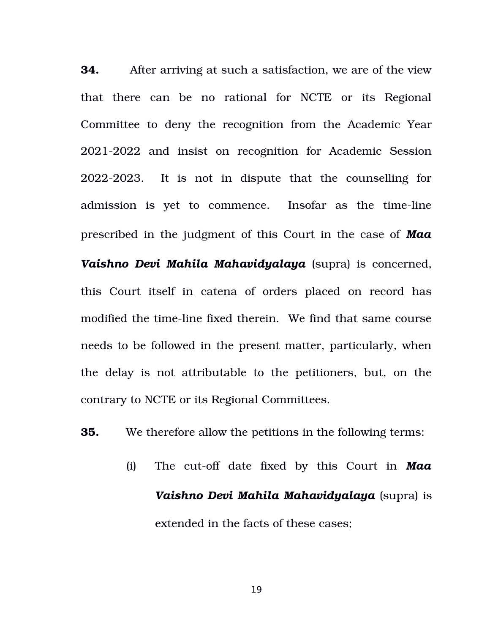**34.** After arriving at such a satisfaction, we are of the view that there can be no rational for NCTE or its Regional Committee to deny the recognition from the Academic Year 2021-2022 and insist on recognition for Academic Session 2022-2023. It is not in dispute that the counselling for admission is yet to commence. Insofar as the time-line prescribed in the judgment of this Court in the case of *Maa Vaishno Devi Mahila Mahavidyalaya* (supra) is concerned, this Court itself in catena of orders placed on record has modified the time-line fixed therein. We find that same course needs to be followed in the present matter, particularly, when the delay is not attributable to the petitioners, but, on the contrary to NCTE or its Regional Committees.

**35.** We therefore allow the petitions in the following terms:

(i) The cut-off date fixed by this Court in **Maa** *Vaishno Devi Mahila Mahavidyalaya* (supra) is extended in the facts of these cases;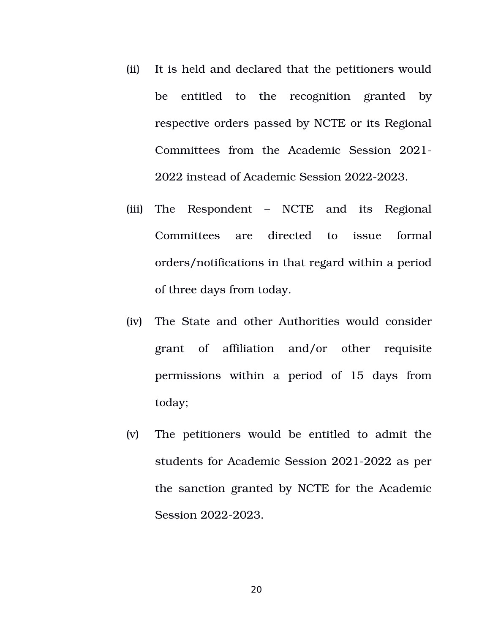- (ii) It is held and declared that the petitioners would be entitled to the recognition granted by respective orders passed by NCTE or its Regional Committees from the Academic Session 2021-2022 instead of Academic Session 2022-2023.
- (iii) The Respondent – NCTE and its Regional Committees are directed to issue formal orders/notifications in that regard within a period of three days from today.
- (iv) The State and other Authorities would consider grant of affiliation and/or other requisite permissions within a period of 15 days from today;
- (v) The petitioners would be entitled to admit the students for Academic Session 2021-2022 as per the sanction granted by NCTE for the Academic Session 2022-2023.